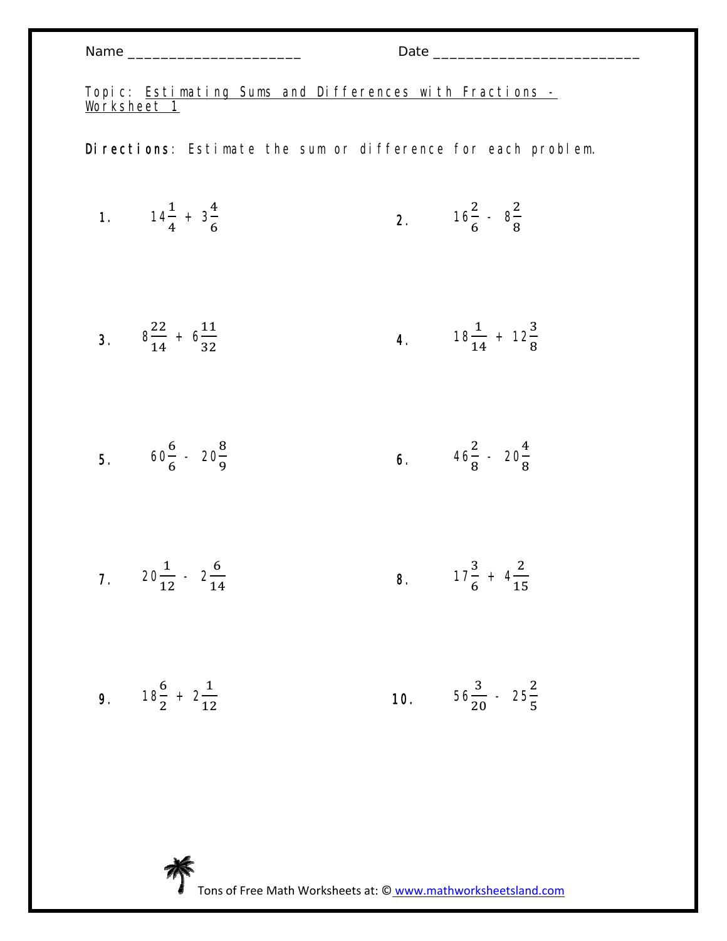Topic: <u>Estimating Sums and Differences with Fractions -</u> <u>Worksheet 1</u>

Directions: Estimate the sum or difference for each problem.

1. 
$$
14\frac{1}{4} + 3\frac{4}{6}
$$
  
\n2.  $16\frac{2}{6} - 8\frac{2}{8}$   
\n3.  $8\frac{22}{14} + 6\frac{11}{32}$   
\n4.  $18\frac{1}{14} + 12\frac{3}{8}$   
\n5.  $60\frac{6}{6} - 20\frac{8}{9}$   
\n6.  $46\frac{2}{8} - 20\frac{4}{8}$   
\n7.  $20\frac{1}{12} - 2\frac{6}{14}$   
\n8.  $17\frac{3}{6} + 4\frac{2}{15}$   
\n9.  $18\frac{6}{2} + 2\frac{1}{12}$   
\n10.  $56\frac{3}{20} - 25\frac{2}{5}$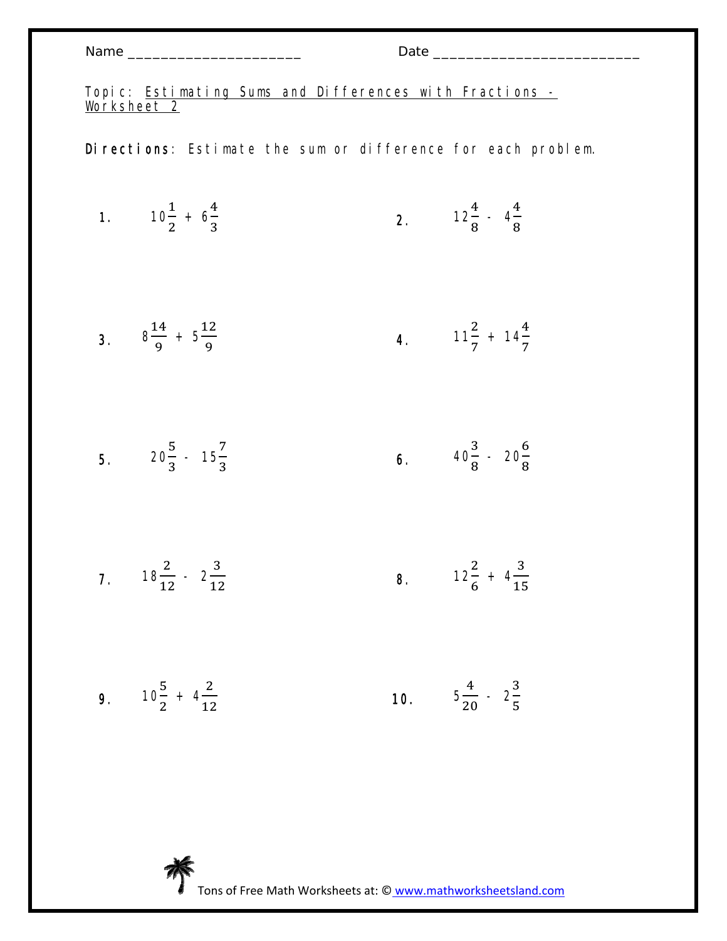Topic: <u>Estimating Sums and Differences with Fractions -</u> <u>Worksheet 2</u>

Directions: Estimate the sum or difference for each problem.

1. 
$$
10\frac{1}{2} + 6\frac{4}{3}
$$
  
\n2.  $12\frac{4}{8} - 4\frac{4}{8}$   
\n3.  $8\frac{14}{9} + 5\frac{12}{9}$   
\n4.  $11\frac{2}{7} + 14\frac{4}{7}$   
\n5.  $20\frac{5}{3} - 15\frac{7}{3}$   
\n6.  $40\frac{3}{8} - 20\frac{6}{8}$   
\n7.  $18\frac{2}{12} - 2\frac{3}{12}$   
\n8.  $12\frac{2}{6} + 4\frac{3}{15}$   
\n9.  $10\frac{5}{2} + 4\frac{2}{12}$   
\n10.  $5\frac{4}{20} - 2\frac{3}{5}$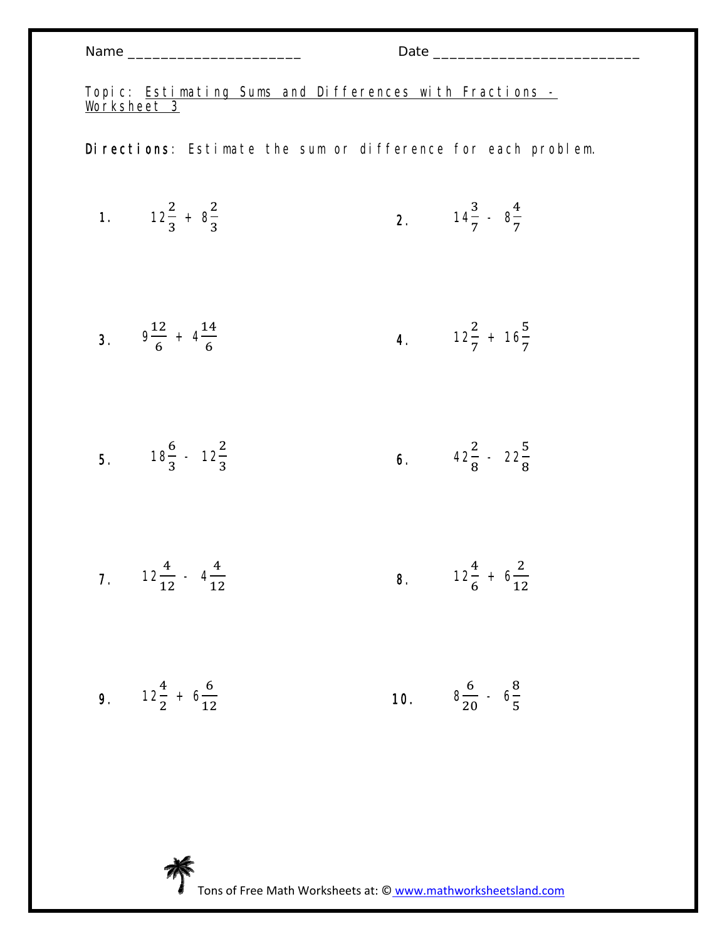Topic: <u>Estimating Sums and Differences with Fractions -</u> <u>Worksheet 3</u>

Directions: Estimate the sum or difference for each problem.

1. 
$$
12\frac{2}{3} + 8\frac{2}{3}
$$
  
\n2.  $14\frac{3}{7} - 8\frac{4}{7}$   
\n3.  $9\frac{12}{6} + 4\frac{14}{6}$   
\n4.  $12\frac{2}{7} + 16\frac{5}{7}$   
\n5.  $18\frac{6}{3} - 12\frac{2}{3}$   
\n6.  $42\frac{2}{8} - 22\frac{5}{8}$   
\n7.  $12\frac{4}{12} - 4\frac{4}{12}$   
\n8.  $12\frac{4}{6} + 6\frac{2}{12}$   
\n9.  $12\frac{4}{2} + 6\frac{6}{12}$   
\n10.  $8\frac{6}{20} - 6\frac{8}{5}$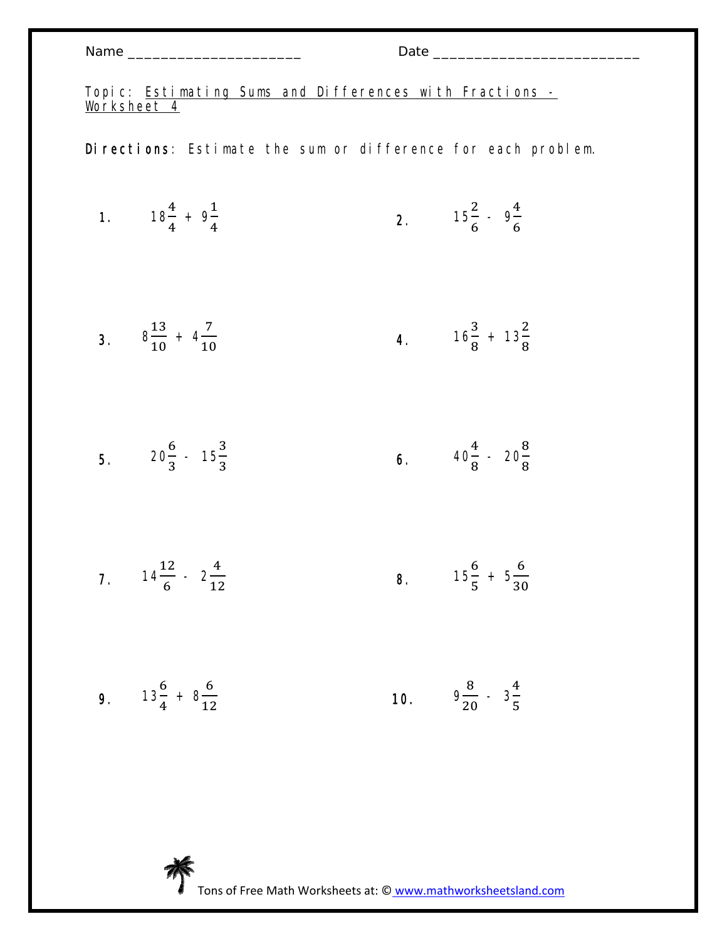Topic: <u>Estimating Sums and Differences with Fractions -</u> <u>Worksheet 4</u>

Directions: Estimate the sum or difference for each problem.

1. 
$$
18\frac{4}{4} + 9\frac{1}{4}
$$
  
\n2.  $15\frac{2}{6} - 9\frac{4}{6}$   
\n3.  $8\frac{13}{10} + 4\frac{7}{10}$   
\n4.  $16\frac{3}{8} + 13\frac{2}{8}$   
\n5.  $20\frac{6}{3} - 15\frac{3}{3}$   
\n6.  $40\frac{4}{8} - 20\frac{8}{8}$   
\n7.  $14\frac{12}{6} - 2\frac{4}{12}$   
\n8.  $15\frac{6}{5} + 5\frac{6}{30}$   
\n9.  $13\frac{6}{4} + 8\frac{6}{12}$   
\n10.  $9\frac{8}{20} - 3\frac{4}{5}$